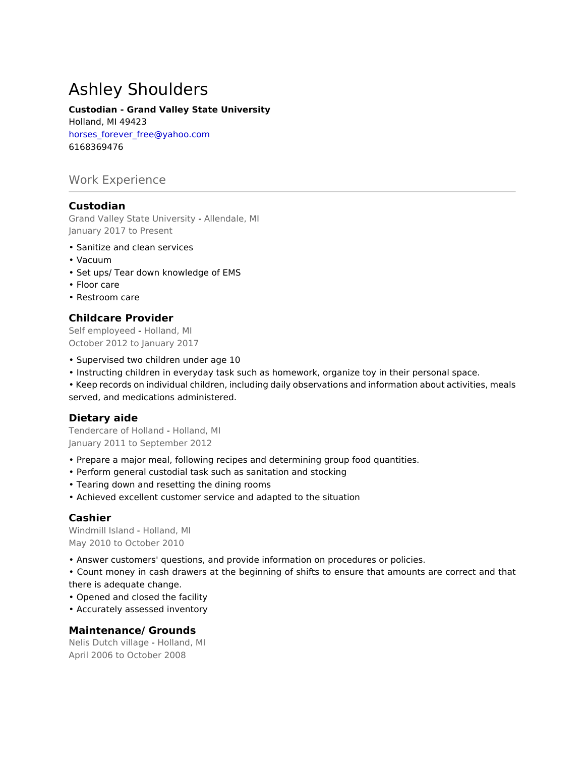# Ashley Shoulders

### **Custodian - Grand Valley State University**

Holland, MI 49423 horses\_forever\_free@yahoo.com 6168369476

# Work Experience

# **Custodian**

Grand Valley State University - Allendale, MI January 2017 to Present

- Sanitize and clean services
- Vacuum
- Set ups/ Tear down knowledge of EMS
- Floor care
- Restroom care

# **Childcare Provider**

Self employeed - Holland, MI October 2012 to January 2017

- Supervised two children under age 10
- Instructing children in everyday task such as homework, organize toy in their personal space.
- Keep records on individual children, including daily observations and information about activities, meals served, and medications administered.

# **Dietary aide**

Tendercare of Holland - Holland, MI January 2011 to September 2012

- Prepare a major meal, following recipes and determining group food quantities.
- Perform general custodial task such as sanitation and stocking
- Tearing down and resetting the dining rooms
- Achieved excellent customer service and adapted to the situation

# **Cashier**

Windmill Island - Holland, MI May 2010 to October 2010

• Answer customers' questions, and provide information on procedures or policies.

• Count money in cash drawers at the beginning of shifts to ensure that amounts are correct and that there is adequate change.

• Opened and closed the facility

• Accurately assessed inventory

# **Maintenance/ Grounds**

Nelis Dutch village - Holland, MI April 2006 to October 2008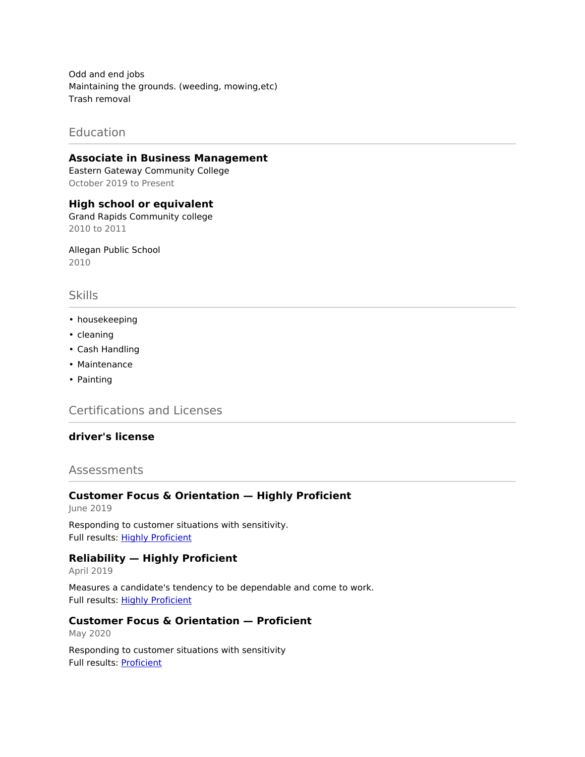Odd and end jobs Maintaining the grounds. (weeding, mowing,etc) Trash removal

# Education

#### **Associate in Business Management**

Eastern Gateway Community College October 2019 to Present

**High school or equivalent** Grand Rapids Community college 2010 to 2011

Allegan Public School 2010

# Skills

- housekeeping
- cleaning
- Cash Handling
- Maintenance
- Painting

Certifications and Licenses

# **driver's license**

## Assessments

#### **Customer Focus & Orientation — Highly Proficient**

June 2019

Responding to customer situations with sensitivity. Full results: [Highly Proficient](https://share.indeedassessments.com/share_to_profile/9c541c45a89da6adf77903ac519f9165eed53dc074545cb7)

#### **Reliability — Highly Proficient**

April 2019

Measures a candidate's tendency to be dependable and come to work. Full results: [Highly Proficient](https://share.indeedassessments.com/share_to_profile/163193d8bcbe706479eb850f8d60959aeed53dc074545cb7)

# **Customer Focus & Orientation — Proficient**

May 2020

Responding to customer situations with sensitivity Full results: [Proficient](https://share.indeedassessments.com/share_to_profile/d70b796d0cefbad53d35020cfb1c30b4eed53dc074545cb7)